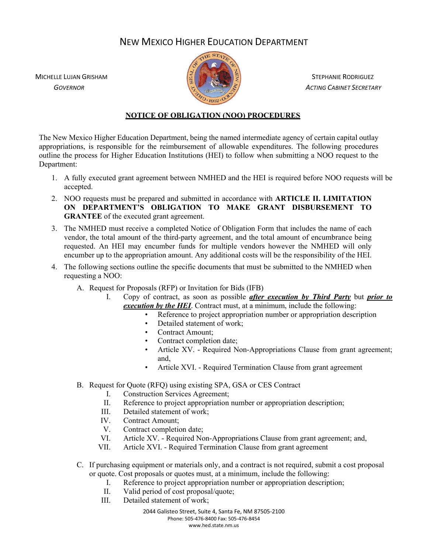## NEW MEXICO HIGHER EDUCATION DEPARTMENT

MICHELLE LUJAN GRISHAM STEPHANIE RODRIGUEZ



 *GOVERNOR ACTING CABINET SECRETARY*

## **NOTICE OF OBLIGATION (NOO) PROCEDURES**

The New Mexico Higher Education Department, being the named intermediate agency of certain capital outlay appropriations, is responsible for the reimbursement of allowable expenditures. The following procedures outline the process for Higher Education Institutions (HEI) to follow when submitting a NOO request to the Department:

- 1. A fully executed grant agreement between NMHED and the HEI is required before NOO requests will be accepted.
- 2. NOO requests must be prepared and submitted in accordance with **ARTICLE II. LIMITATION ON DEPARTMENT'S OBLIGATION TO MAKE GRANT DISBURSEMENT TO GRANTEE** of the executed grant agreement.
- 3. The NMHED must receive a completed Notice of Obligation Form that includes the name of each vendor, the total amount of the third-party agreement, and the total amount of encumbrance being requested. An HEI may encumber funds for multiple vendors however the NMHED will only encumber up to the appropriation amount. Any additional costs will be the responsibility of the HEI.
- 4. The following sections outline the specific documents that must be submitted to the NMHED when requesting a NOO:
	- A. Request for Proposals (RFP) or Invitation for Bids (IFB)
		- I. Copy of contract, as soon as possible *after execution by Third Party* but *prior to execution by the HEI*. Contract must, at a minimum, include the following:
			- Reference to project appropriation number or appropriation description
			- Detailed statement of work:
			- Contract Amount;
			- Contract completion date;
			- Article XV. Required Non-Appropriations Clause from grant agreement; and,
			- Article XVI. Required Termination Clause from grant agreement
	- B. Request for Quote (RFQ) using existing SPA, GSA or CES Contract
		- I. Construction Services Agreement;
		- II. Reference to project appropriation number or appropriation description;
		- III. Detailed statement of work;
		- IV. Contract Amount;
		- V. Contract completion date;
		- VI. Article XV. Required Non-Appropriations Clause from grant agreement; and,
		- VII. Article XVI. Required Termination Clause from grant agreement
	- C. If purchasing equipment or materials only, and a contract is not required, submit a cost proposal or quote. Cost proposals or quotes must, at a minimum, include the following:
		- I. Reference to project appropriation number or appropriation description;
		- II. Valid period of cost proposal/quote;
		- III. Detailed statement of work;

2044 Galisteo Street, Suite 4, Santa Fe, NM 87505‐2100 Phone: 505‐476‐8400 Fax: 505‐476‐8454 www.hed.state.nm.us